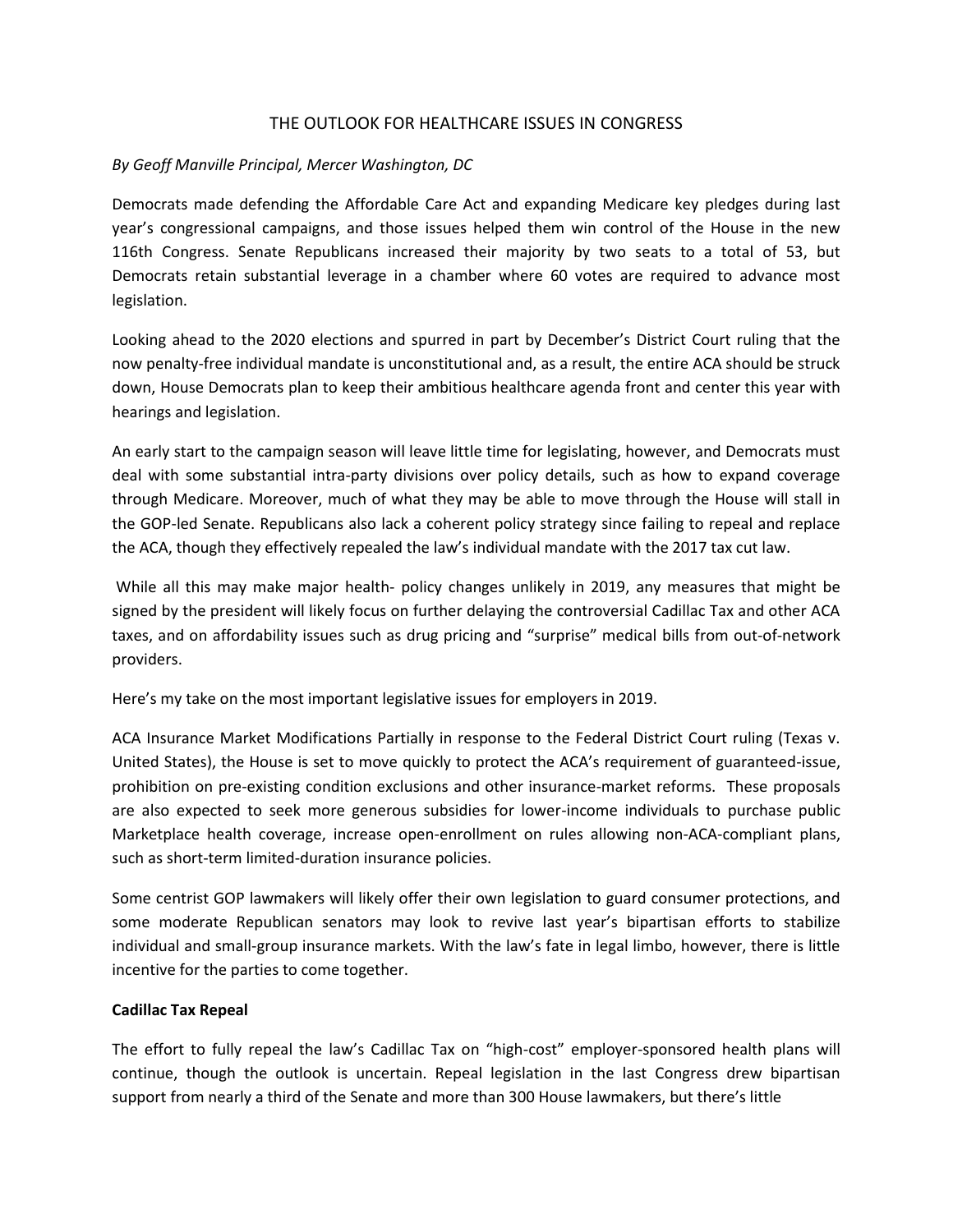# THE OUTLOOK FOR HEALTHCARE ISSUES IN CONGRESS

## *By Geoff Manville Principal, Mercer Washington, DC*

Democrats made defending the Affordable Care Act and expanding Medicare key pledges during last year's congressional campaigns, and those issues helped them win control of the House in the new 116th Congress. Senate Republicans increased their majority by two seats to a total of 53, but Democrats retain substantial leverage in a chamber where 60 votes are required to advance most legislation.

Looking ahead to the 2020 elections and spurred in part by December's District Court ruling that the now penalty-free individual mandate is unconstitutional and, as a result, the entire ACA should be struck down, House Democrats plan to keep their ambitious healthcare agenda front and center this year with hearings and legislation.

An early start to the campaign season will leave little time for legislating, however, and Democrats must deal with some substantial intra-party divisions over policy details, such as how to expand coverage through Medicare. Moreover, much of what they may be able to move through the House will stall in the GOP-led Senate. Republicans also lack a coherent policy strategy since failing to repeal and replace the ACA, though they effectively repealed the law's individual mandate with the 2017 tax cut law.

While all this may make major health- policy changes unlikely in 2019, any measures that might be signed by the president will likely focus on further delaying the controversial Cadillac Tax and other ACA taxes, and on affordability issues such as drug pricing and "surprise" medical bills from out-of-network providers.

Here's my take on the most important legislative issues for employers in 2019.

ACA Insurance Market Modifications Partially in response to the Federal District Court ruling (Texas v. United States), the House is set to move quickly to protect the ACA's requirement of guaranteed-issue, prohibition on pre-existing condition exclusions and other insurance-market reforms. These proposals are also expected to seek more generous subsidies for lower-income individuals to purchase public Marketplace health coverage, increase open-enrollment on rules allowing non-ACA-compliant plans, such as short-term limited-duration insurance policies.

Some centrist GOP lawmakers will likely offer their own legislation to guard consumer protections, and some moderate Republican senators may look to revive last year's bipartisan efforts to stabilize individual and small-group insurance markets. With the law's fate in legal limbo, however, there is little incentive for the parties to come together.

#### **Cadillac Tax Repeal**

The effort to fully repeal the law's Cadillac Tax on "high-cost" employer-sponsored health plans will continue, though the outlook is uncertain. Repeal legislation in the last Congress drew bipartisan support from nearly a third of the Senate and more than 300 House lawmakers, but there's little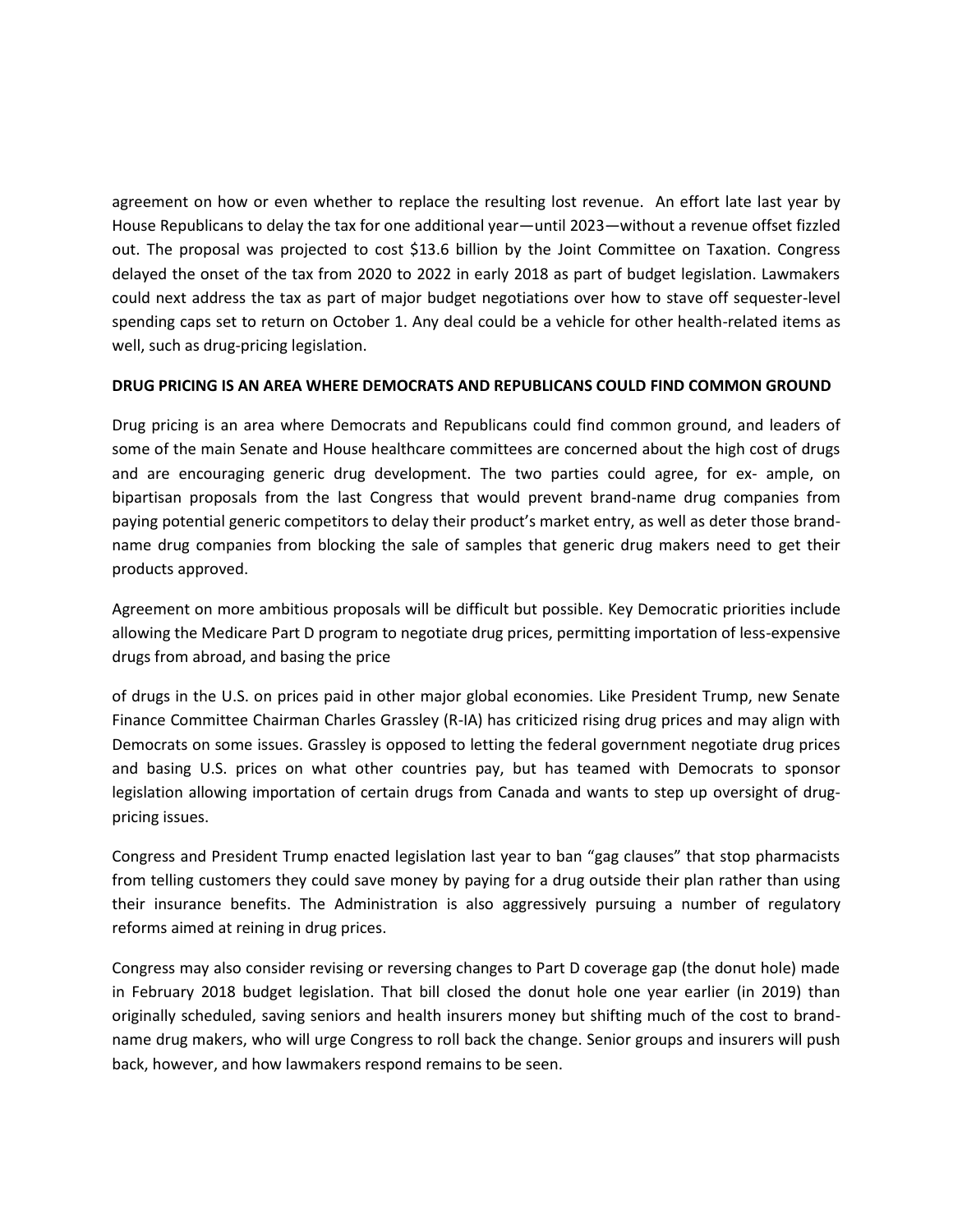agreement on how or even whether to replace the resulting lost revenue. An effort late last year by House Republicans to delay the tax for one additional year—until 2023—without a revenue offset fizzled out. The proposal was projected to cost \$13.6 billion by the Joint Committee on Taxation. Congress delayed the onset of the tax from 2020 to 2022 in early 2018 as part of budget legislation. Lawmakers could next address the tax as part of major budget negotiations over how to stave off sequester-level spending caps set to return on October 1. Any deal could be a vehicle for other health-related items as well, such as drug-pricing legislation.

## **DRUG PRICING IS AN AREA WHERE DEMOCRATS AND REPUBLICANS COULD FIND COMMON GROUND**

Drug pricing is an area where Democrats and Republicans could find common ground, and leaders of some of the main Senate and House healthcare committees are concerned about the high cost of drugs and are encouraging generic drug development. The two parties could agree, for ex- ample, on bipartisan proposals from the last Congress that would prevent brand-name drug companies from paying potential generic competitors to delay their product's market entry, as well as deter those brandname drug companies from blocking the sale of samples that generic drug makers need to get their products approved.

Agreement on more ambitious proposals will be difficult but possible. Key Democratic priorities include allowing the Medicare Part D program to negotiate drug prices, permitting importation of less-expensive drugs from abroad, and basing the price

of drugs in the U.S. on prices paid in other major global economies. Like President Trump, new Senate Finance Committee Chairman Charles Grassley (R-IA) has criticized rising drug prices and may align with Democrats on some issues. Grassley is opposed to letting the federal government negotiate drug prices and basing U.S. prices on what other countries pay, but has teamed with Democrats to sponsor legislation allowing importation of certain drugs from Canada and wants to step up oversight of drugpricing issues.

Congress and President Trump enacted legislation last year to ban "gag clauses" that stop pharmacists from telling customers they could save money by paying for a drug outside their plan rather than using their insurance benefits. The Administration is also aggressively pursuing a number of regulatory reforms aimed at reining in drug prices.

Congress may also consider revising or reversing changes to Part D coverage gap (the donut hole) made in February 2018 budget legislation. That bill closed the donut hole one year earlier (in 2019) than originally scheduled, saving seniors and health insurers money but shifting much of the cost to brandname drug makers, who will urge Congress to roll back the change. Senior groups and insurers will push back, however, and how lawmakers respond remains to be seen.